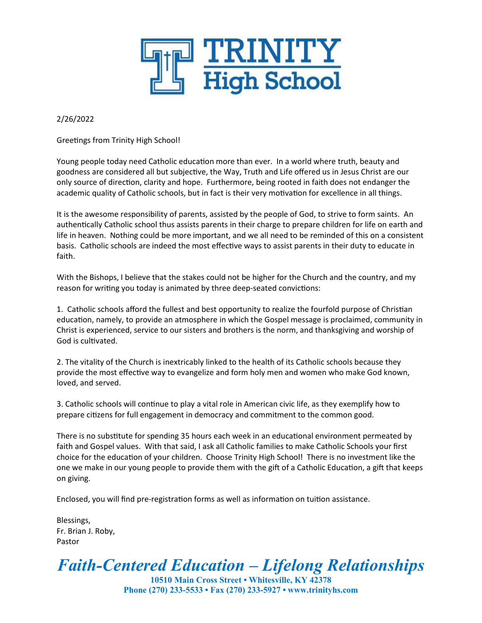

#### 2/26/2022

Greetings from Trinity High School!

Young people today need Catholic education more than ever. In a world where truth, beauty and goodness are considered all but subjective, the Way, Truth and Life offered us in Jesus Christ are our only source of direction, clarity and hope. Furthermore, being rooted in faith does not endanger the academic quality of Catholic schools, but in fact is their very motivation for excellence in all things.

It is the awesome responsibility of parents, assisted by the people of God, to strive to form saints. An authentically Catholic school thus assists parents in their charge to prepare children for life on earth and life in heaven. Nothing could be more important, and we all need to be reminded of this on a consistent basis. Catholic schools are indeed the most effective ways to assist parents in their duty to educate in faith.

With the Bishops, I believe that the stakes could not be higher for the Church and the country, and my reason for writing you today is animated by three deep-seated convictions:

1. Catholic schools afford the fullest and best opportunity to realize the fourfold purpose of Christian education, namely, to provide an atmosphere in which the Gospel message is proclaimed, community in Christ is experienced, service to our sisters and brothers is the norm, and thanksgiving and worship of God is cultivated.

2. The vitality of the Church is inextricably linked to the health of its Catholic schools because they provide the most effective way to evangelize and form holy men and women who make God known, loved, and served.

3. Catholic schools will continue to play a vital role in American civic life, as they exemplify how to prepare citizens for full engagement in democracy and commitment to the common good.

There is no substitute for spending 35 hours each week in an educational environment permeated by faith and Gospel values. With that said, I ask all Catholic families to make Catholic Schools your first choice for the education of your children. Choose Trinity High School! There is no investment like the one we make in our young people to provide them with the gift of a Catholic Education, a gift that keeps on giving.

Enclosed, you will find pre-registration forms as well as information on tuition assistance.

Blessings, Fr. Brian J. Roby, Pastor

*Faith-Centered Education – Lifelong Relationships*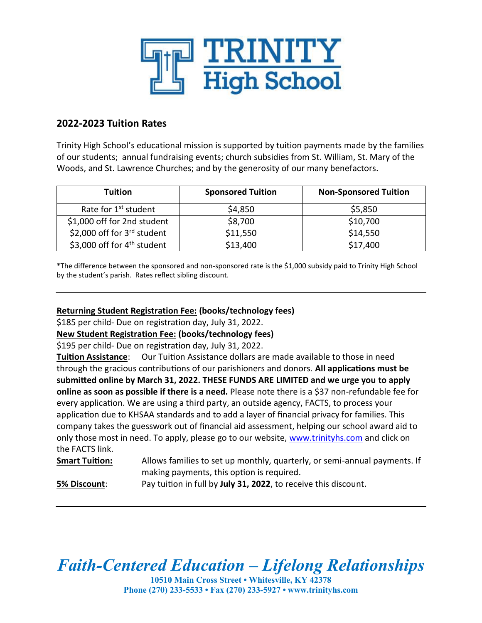

### **2022-2023 Tuition Rates**

Trinity High School's educational mission is supported by tuition payments made by the families of our students; annual fundraising events; church subsidies from St. William, St. Mary of the Woods, and St. Lawrence Churches; and by the generosity of our many benefactors.

| <b>Tuition</b>                          | <b>Sponsored Tuition</b> | <b>Non-Sponsored Tuition</b> |
|-----------------------------------------|--------------------------|------------------------------|
| Rate for 1 <sup>st</sup> student        | \$4,850                  | \$5,850                      |
| \$1,000 off for 2nd student             | \$8,700                  | \$10,700                     |
| \$2,000 off for 3rd student             | \$11,550                 | \$14,550                     |
| \$3,000 off for 4 <sup>th</sup> student | \$13,400                 | \$17,400                     |

\*The difference between the sponsored and non-sponsored rate is the \$1,000 subsidy paid to Trinity High School by the student's parish. Rates reflect sibling discount.

#### **Returning Student Registration Fee: (books/technology fees)**

\$185 per child- Due on registration day, July 31, 2022.

**New Student Registration Fee: (books/technology fees)**

\$195 per child- Due on registration day, July 31, 2022.

**Tuition Assistance**: Our Tuition Assistance dollars are made available to those in need through the gracious contributions of our parishioners and donors. **All applications must be submitted online by March 31, 2022. THESE FUNDS ARE LIMITED and we urge you to apply online as soon as possible if there is a need.** Please note there is a \$37 non-refundable fee for every application. We are using a third party, an outside agency, FACTS, to process your application due to KHSAA standards and to add a layer of financial privacy for families. This company takes the guesswork out of financial aid assessment, helping our school award aid to only those most in need. To apply, please go to our website, [www.trinityhs.com](http://www.trinityhs.com/) and click on the FACTS link.

**Smart Tuition:** Allows families to set up monthly, quarterly, or semi-annual payments. If making payments, this option is required.

**5% Discount**: Pay tuition in full by **July 31, 2022**, to receive this discount.

*Faith-Centered Education – Lifelong Relationships*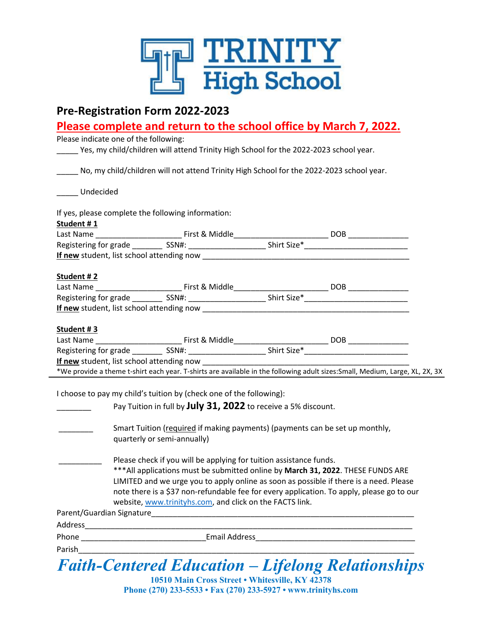

## **Pre-Registration Form 2022-2023**

## **Please complete and return to the school office by March 7, 2022.**

Please indicate one of the following:

\_\_\_\_\_ Yes, my child/children will attend Trinity High School for the 2022-2023 school year.

\_\_\_\_\_ No, my child/children will not attend Trinity High School for the 2022-2023 school year.

\_\_\_\_\_ Undecided

If yes, please complete the following information:

| Student #1                                                                                                                   |  |     |  |
|------------------------------------------------------------------------------------------------------------------------------|--|-----|--|
|                                                                                                                              |  | DOB |  |
| Registering for grade ____________ SSN#: ____________________________Shirt Size*__                                           |  |     |  |
|                                                                                                                              |  |     |  |
| Student #2                                                                                                                   |  |     |  |
|                                                                                                                              |  | DOB |  |
|                                                                                                                              |  |     |  |
|                                                                                                                              |  |     |  |
| Student #3                                                                                                                   |  |     |  |
| Last Name First & Middle                                                                                                     |  | DOB |  |
|                                                                                                                              |  |     |  |
| <b>If new student, list school attending now</b>                                                                             |  |     |  |
| *We provide a theme t-shirt each year. T-shirts are available in the following adult sizes: Small, Medium, Large, XL, 2X, 3X |  |     |  |

I choose to pay my child's tuition by (check one of the following):

|         | encese to pay my enna standen by fencen one or the ronoming.                                                                                                                                                                                                                                                                                                                                              |
|---------|-----------------------------------------------------------------------------------------------------------------------------------------------------------------------------------------------------------------------------------------------------------------------------------------------------------------------------------------------------------------------------------------------------------|
|         | Pay Tuition in full by July 31, 2022 to receive a 5% discount.                                                                                                                                                                                                                                                                                                                                            |
|         | Smart Tuition (required if making payments) (payments can be set up monthly,<br>quarterly or semi-annually)                                                                                                                                                                                                                                                                                               |
|         | Please check if you will be applying for tuition assistance funds.<br>*** All applications must be submitted online by March 31, 2022. THESE FUNDS ARE<br>LIMITED and we urge you to apply online as soon as possible if there is a need. Please<br>note there is a \$37 non-refundable fee for every application. To apply, please go to our<br>website, www.trinityhs.com, and click on the FACTS link. |
|         | Parent/Guardian Signature                                                                                                                                                                                                                                                                                                                                                                                 |
| Address |                                                                                                                                                                                                                                                                                                                                                                                                           |
| Phone   | <b>Email Address</b>                                                                                                                                                                                                                                                                                                                                                                                      |
| Parish  |                                                                                                                                                                                                                                                                                                                                                                                                           |
|         | <b>Faith-Centered Education - Lifelong Relationships</b>                                                                                                                                                                                                                                                                                                                                                  |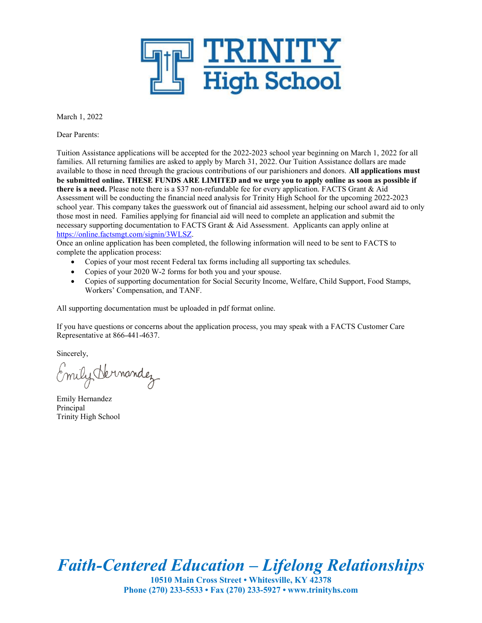

March 1, 2022

Dear Parents:

Tuition Assistance applications will be accepted for the 2022-2023 school year beginning on March 1, 2022 for all families. All returning families are asked to apply by March 31, 2022. Our Tuition Assistance dollars are made available to those in need through the gracious contributions of our parishioners and donors. **All applications must be submitted online. THESE FUNDS ARE LIMITED and we urge you to apply online as soon as possible if there is a need.** Please note there is a \$37 non-refundable fee for every application. FACTS Grant & Aid Assessment will be conducting the financial need analysis for Trinity High School for the upcoming 2022-2023 school year. This company takes the guesswork out of financial aid assessment, helping our school award aid to only those most in need. Families applying for financial aid will need to complete an application and submit the necessary supporting documentation to FACTS Grant & Aid Assessment. Applicants can apply online at <https://online.factsmgt.com/>signin/3WLSZ.

Once an online application has been completed, the following information will need to be sent to FACTS to complete the application process:

- Copies of your most recent Federal tax forms including all supporting tax schedules.
- Copies of your 2020 W-2 forms for both you and your spouse.
- Copies of supporting documentation for Social Security Income, Welfare, Child Support, Food Stamps, Workers' Compensation, and TANF.

All supporting documentation must be uploaded in pdf format online.

If you have questions or concerns about the application process, you may speak with a FACTS Customer Care Representative at 866-441-4637.

Sincerely,

Emily Hermandez

Emily Hernandez Principal Trinity High School

*Faith-Centered Education – Lifelong Relationships*